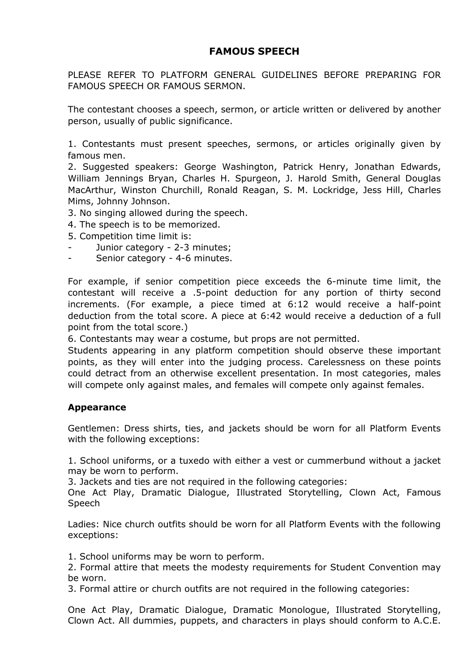# **FAMOUS SPEECH**

PLEASE REFER TO PLATFORM GENERAL GUIDELINES BEFORE PREPARING FOR FAMOUS SPEECH OR FAMOUS SERMON.

The contestant chooses a speech, sermon, or article written or delivered by another person, usually of public significance.

1. Contestants must present speeches, sermons, or articles originally given by famous men.

2. Suggested speakers: George Washington, Patrick Henry, Jonathan Edwards, William Jennings Bryan, Charles H. Spurgeon, J. Harold Smith, General Douglas MacArthur, Winston Churchill, Ronald Reagan, S. M. Lockridge, Jess Hill, Charles Mims, Johnny Johnson.

- 3. No singing allowed during the speech.
- 4. The speech is to be memorized.
- 5. Сompetition time limit is:
- Junior category 2-3 minutes;
- Senior category 4-6 minutes.

For example, if senior competition piece exceeds the 6-minute time limit, the contestant will receive a .5-point deduction for any portion of thirty second increments. (For example, a piece timed at 6:12 would receive a half-point deduction from the total score. A piece at 6:42 would receive a deduction of a full point from the total score.)

6. Contestants may wear a costume, but props are not permitted.

Students appearing in any platform competition should observe these important points, as they will enter into the judging process. Carelessness on these points could detract from an otherwise excellent presentation. In most categories, males will compete only against males, and females will compete only against females.

## **Appearance**

Gentlemen: Dress shirts, ties, and jackets should be worn for all Platform Events with the following exceptions:

1. School uniforms, or a tuxedo with either a vest or cummerbund without a jacket may be worn to perform.

3. Jackets and ties are not required in the following categories:

One Act Play, Dramatic Dialogue, Illustrated Storytelling, Clown Act, Famous Speech

Ladies: Nice church outfits should be worn for all Platform Events with the following exceptions:

1. School uniforms may be worn to perform.

2. Formal attire that meets the modesty requirements for Student Convention may be worn.

3. Formal attire or church outfits are not required in the following categories:

One Act Play, Dramatic Dialogue, Dramatic Monologue, Illustrated Storytelling, Clown Act. All dummies, puppets, and characters in plays should conform to A.C.E.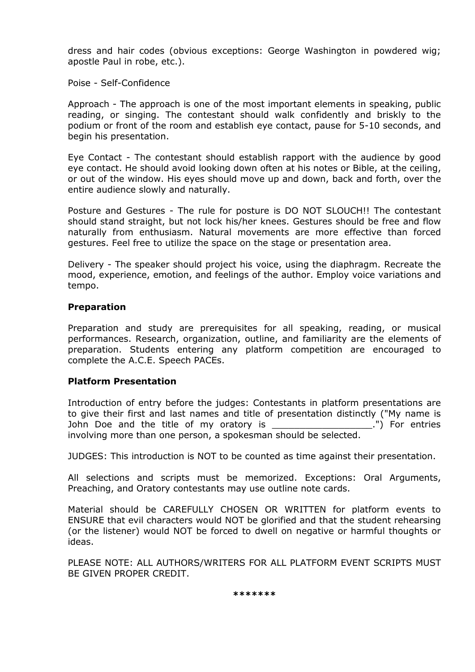dress and hair codes (obvious exceptions: George Washington in powdered wig; apostle Paul in robe, etc.).

Poise - Self-Confidence

Approach - The approach is one of the most important elements in speaking, public reading, or singing. The contestant should walk confidently and briskly to the podium or front of the room and establish eye contact, pause for 5-10 seconds, and begin his presentation.

Eye Contact - The contestant should establish rapport with the audience by good eye contact. He should avoid looking down often at his notes or Bible, at the ceiling, or out of the window. His eyes should move up and down, back and forth, over the entire audience slowly and naturally.

Posture and Gestures - The rule for posture is DO NOT SLOUCH!! The contestant should stand straight, but not lock his/her knees. Gestures should be free and flow naturally from enthusiasm. Natural movements are more effective than forced gestures. Feel free to utilize the space on the stage or presentation area.

Delivery - The speaker should project his voice, using the diaphragm. Recreate the mood, experience, emotion, and feelings of the author. Employ voice variations and tempo.

### **Preparation**

Preparation and study are prerequisites for all speaking, reading, or musical performances. Research, organization, outline, and familiarity are the elements of preparation. Students entering any platform competition are encouraged to complete the A.C.E. Speech PACEs.

## **Platform Presentation**

Introduction of entry before the judges: Contestants in platform presentations are to give their first and last names and title of presentation distinctly ("My name is John Doe and the title of my oratory is The Contrium of the setting of my oratory is The Cohn and the title of my oratory is involving more than one person, a spokesman should be selected.

JUDGES: This introduction is NOT to be counted as time against their presentation.

All selections and scripts must be memorized. Exceptions: Oral Arguments, Preaching, and Oratory contestants may use outline note cards.

Material should be CAREFULLY CHOSEN OR WRITTEN for platform events to ENSURE that evil characters would NOT be glorified and that the student rehearsing (or the listener) would NOT be forced to dwell on negative or harmful thoughts or ideas.

PLEASE NOTE: ALL AUTHORS/WRITERS FOR ALL PLATFORM EVENT SCRIPTS MUST BE GIVEN PROPER CREDIT.

**\*\*\*\*\*\*\***